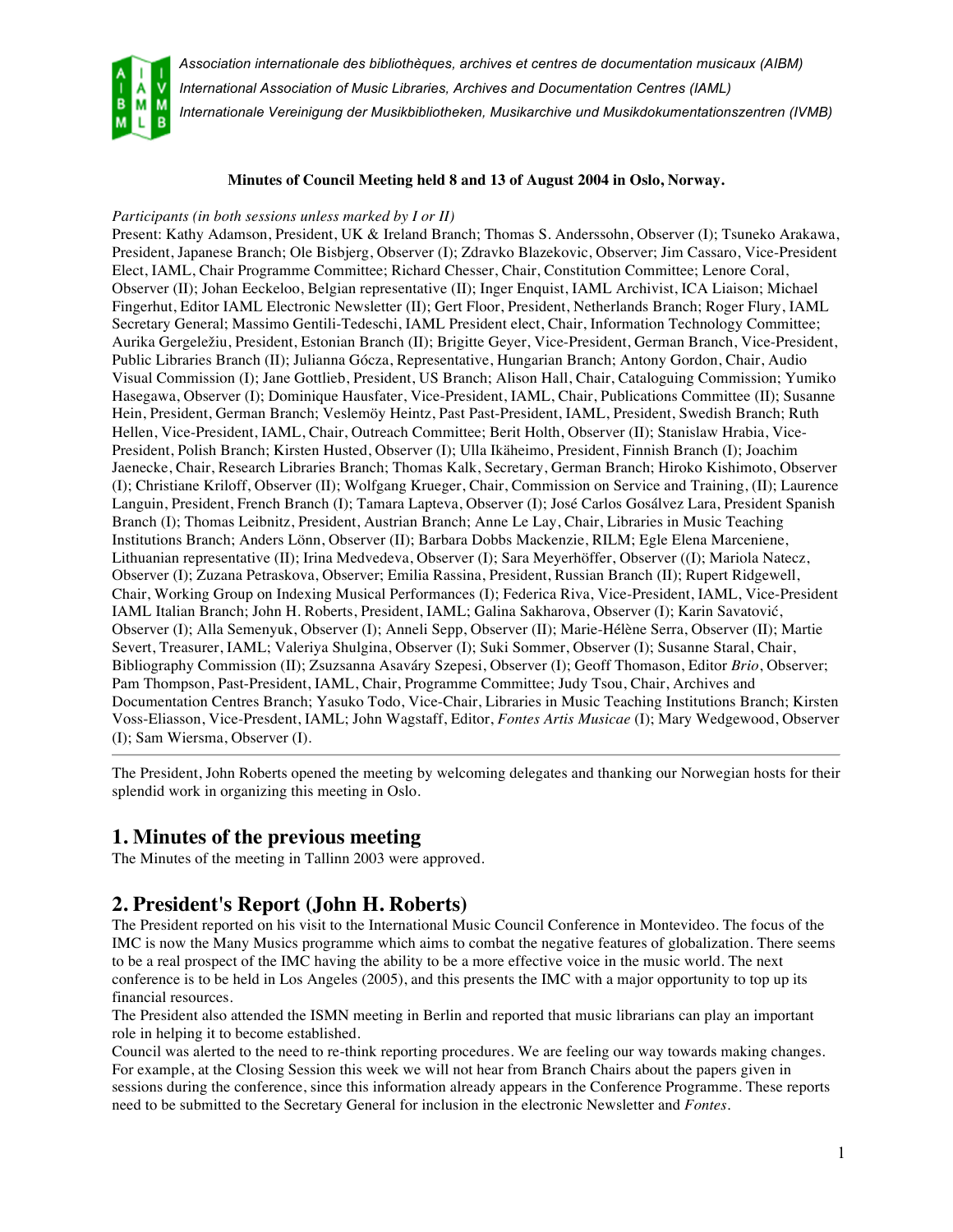



*International Association of Music Libraries, Archives and Documentation Centres (IAML) Internationale Vereinigung der Musikbibliotheken, Musikarchive und Musikdokumentationszentren (IVMB)*

#### **Minutes of Council Meeting held 8 and 13 of August 2004 in Oslo, Norway.**

#### *Participants (in both sessions unless marked by I or II)*

Present: Kathy Adamson, President, UK & Ireland Branch; Thomas S. Anderssohn, Observer (I); Tsuneko Arakawa, President, Japanese Branch; Ole Bisbjerg, Observer (I); Zdravko Blazekovic, Observer; Jim Cassaro, Vice-President Elect, IAML, Chair Programme Committee; Richard Chesser, Chair, Constitution Committee; Lenore Coral, Observer (II); Johan Eeckeloo, Belgian representative (II); Inger Enquist, IAML Archivist, ICA Liaison; Michael Fingerhut, Editor IAML Electronic Newsletter (II); Gert Floor, President, Netherlands Branch; Roger Flury, IAML Secretary General; Massimo Gentili-Tedeschi, IAML President elect, Chair, Information Technology Committee; Aurika Gergeležiu, President, Estonian Branch (II); Brigitte Geyer, Vice-President, German Branch, Vice-President, Public Libraries Branch (II); Julianna Gócza, Representative, Hungarian Branch; Antony Gordon, Chair, Audio Visual Commission (I); Jane Gottlieb, President, US Branch; Alison Hall, Chair, Cataloguing Commission; Yumiko Hasegawa, Observer (I); Dominique Hausfater, Vice-President, IAML, Chair, Publications Committee (II); Susanne Hein, President, German Branch; Veslemöy Heintz, Past Past-President, IAML, President, Swedish Branch; Ruth Hellen, Vice-President, IAML, Chair, Outreach Committee; Berit Holth, Observer (II); Stanislaw Hrabia, Vice-President, Polish Branch; Kirsten Husted, Observer (I); Ulla Ikäheimo, President, Finnish Branch (I); Joachim Jaenecke, Chair, Research Libraries Branch; Thomas Kalk, Secretary, German Branch; Hiroko Kishimoto, Observer (I); Christiane Kriloff, Observer (II); Wolfgang Krueger, Chair, Commission on Service and Training, (II); Laurence Languin, President, French Branch (I); Tamara Lapteva, Observer (I); José Carlos Gosálvez Lara, President Spanish Branch (I); Thomas Leibnitz, President, Austrian Branch; Anne Le Lay, Chair, Libraries in Music Teaching Institutions Branch; Anders Lönn, Observer (II); Barbara Dobbs Mackenzie, RILM; Egle Elena Marceniene, Lithuanian representative (II); Irina Medvedeva, Observer (I); Sara Meyerhöffer, Observer ((I); Mariola Natecz, Observer (I); Zuzana Petraskova, Observer; Emilia Rassina, President, Russian Branch (II); Rupert Ridgewell, Chair, Working Group on Indexing Musical Performances (I); Federica Riva, Vice-President, IAML, Vice-President IAML Italian Branch; John H. Roberts, President, IAML; Galina Sakharova, Observer (I); Karin Savatović, Observer (I); Alla Semenyuk, Observer (I); Anneli Sepp, Observer (II); Marie-Hélène Serra, Observer (II); Martie Severt, Treasurer, IAML; Valeriya Shulgina, Observer (I); Suki Sommer, Observer (I); Susanne Staral, Chair, Bibliography Commission (II); Zsuzsanna Asaváry Szepesi, Observer (I); Geoff Thomason, Editor *Brio*, Observer; Pam Thompson, Past-President, IAML, Chair, Programme Committee; Judy Tsou, Chair, Archives and Documentation Centres Branch; Yasuko Todo, Vice-Chair, Libraries in Music Teaching Institutions Branch; Kirsten Voss-Eliasson, Vice-Presdent, IAML; John Wagstaff, Editor, *Fontes Artis Musicae* (I); Mary Wedgewood, Observer (I); Sam Wiersma, Observer (I).

The President, John Roberts opened the meeting by welcoming delegates and thanking our Norwegian hosts for their splendid work in organizing this meeting in Oslo.

#### **1. Minutes of the previous meeting**

The Minutes of the meeting in Tallinn 2003 were approved.

### **2. President's Report (John H. Roberts)**

The President reported on his visit to the International Music Council Conference in Montevideo. The focus of the IMC is now the Many Musics programme which aims to combat the negative features of globalization. There seems to be a real prospect of the IMC having the ability to be a more effective voice in the music world. The next conference is to be held in Los Angeles (2005), and this presents the IMC with a major opportunity to top up its financial resources.

The President also attended the ISMN meeting in Berlin and reported that music librarians can play an important role in helping it to become established.

Council was alerted to the need to re-think reporting procedures. We are feeling our way towards making changes. For example, at the Closing Session this week we will not hear from Branch Chairs about the papers given in sessions during the conference, since this information already appears in the Conference Programme. These reports need to be submitted to the Secretary General for inclusion in the electronic Newsletter and *Fontes.*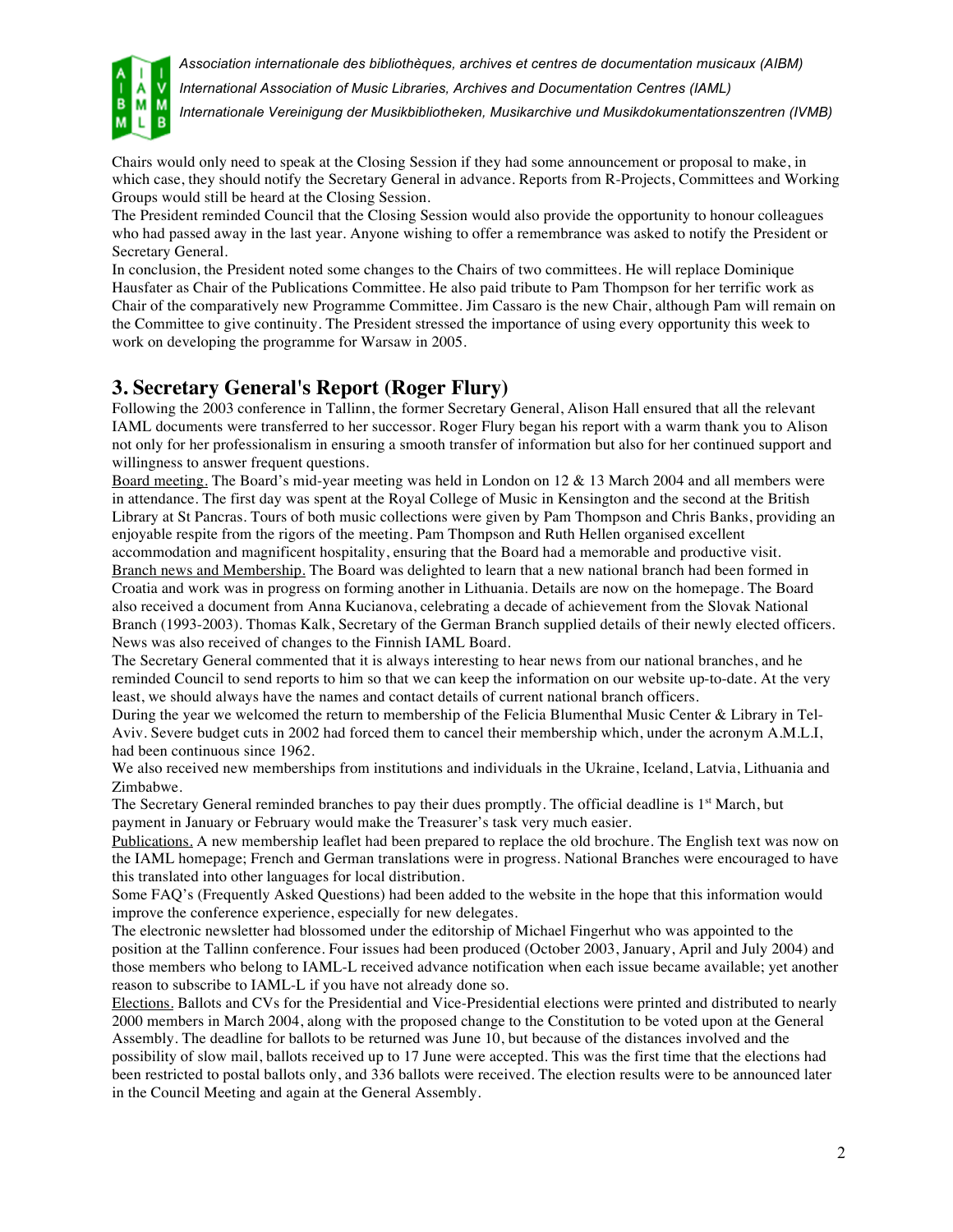

*International Association of Music Libraries, Archives and Documentation Centres (IAML)*

*Internationale Vereinigung der Musikbibliotheken, Musikarchive und Musikdokumentationszentren (IVMB)*

Chairs would only need to speak at the Closing Session if they had some announcement or proposal to make, in which case, they should notify the Secretary General in advance. Reports from R-Projects, Committees and Working Groups would still be heard at the Closing Session.

The President reminded Council that the Closing Session would also provide the opportunity to honour colleagues who had passed away in the last year. Anyone wishing to offer a remembrance was asked to notify the President or Secretary General.

In conclusion, the President noted some changes to the Chairs of two committees. He will replace Dominique Hausfater as Chair of the Publications Committee. He also paid tribute to Pam Thompson for her terrific work as Chair of the comparatively new Programme Committee. Jim Cassaro is the new Chair, although Pam will remain on the Committee to give continuity. The President stressed the importance of using every opportunity this week to work on developing the programme for Warsaw in 2005.

## **3. Secretary General's Report (Roger Flury)**

Following the 2003 conference in Tallinn, the former Secretary General, Alison Hall ensured that all the relevant IAML documents were transferred to her successor. Roger Flury began his report with a warm thank you to Alison not only for her professionalism in ensuring a smooth transfer of information but also for her continued support and willingness to answer frequent questions.

Board meeting. The Board's mid-year meeting was held in London on 12 & 13 March 2004 and all members were in attendance. The first day was spent at the Royal College of Music in Kensington and the second at the British Library at St Pancras. Tours of both music collections were given by Pam Thompson and Chris Banks, providing an enjoyable respite from the rigors of the meeting. Pam Thompson and Ruth Hellen organised excellent

accommodation and magnificent hospitality, ensuring that the Board had a memorable and productive visit. Branch news and Membership. The Board was delighted to learn that a new national branch had been formed in Croatia and work was in progress on forming another in Lithuania. Details are now on the homepage. The Board also received a document from Anna Kucianova, celebrating a decade of achievement from the Slovak National Branch (1993-2003). Thomas Kalk, Secretary of the German Branch supplied details of their newly elected officers. News was also received of changes to the Finnish IAML Board.

The Secretary General commented that it is always interesting to hear news from our national branches, and he reminded Council to send reports to him so that we can keep the information on our website up-to-date. At the very least, we should always have the names and contact details of current national branch officers.

During the year we welcomed the return to membership of the Felicia Blumenthal Music Center & Library in Tel-Aviv. Severe budget cuts in 2002 had forced them to cancel their membership which, under the acronym A.M.L.I, had been continuous since 1962.

We also received new memberships from institutions and individuals in the Ukraine, Iceland, Latvia, Lithuania and Zimbabwe.

The Secretary General reminded branches to pay their dues promptly. The official deadline is 1<sup>st</sup> March, but payment in January or February would make the Treasurer's task very much easier.

Publications. A new membership leaflet had been prepared to replace the old brochure. The English text was now on the IAML homepage; French and German translations were in progress. National Branches were encouraged to have this translated into other languages for local distribution.

Some FAQ's (Frequently Asked Questions) had been added to the website in the hope that this information would improve the conference experience, especially for new delegates.

The electronic newsletter had blossomed under the editorship of Michael Fingerhut who was appointed to the position at the Tallinn conference. Four issues had been produced (October 2003, January, April and July 2004) and those members who belong to IAML-L received advance notification when each issue became available; yet another reason to subscribe to IAML-L if you have not already done so.

Elections. Ballots and CVs for the Presidential and Vice-Presidential elections were printed and distributed to nearly 2000 members in March 2004, along with the proposed change to the Constitution to be voted upon at the General Assembly. The deadline for ballots to be returned was June 10, but because of the distances involved and the possibility of slow mail, ballots received up to 17 June were accepted. This was the first time that the elections had been restricted to postal ballots only, and 336 ballots were received. The election results were to be announced later in the Council Meeting and again at the General Assembly.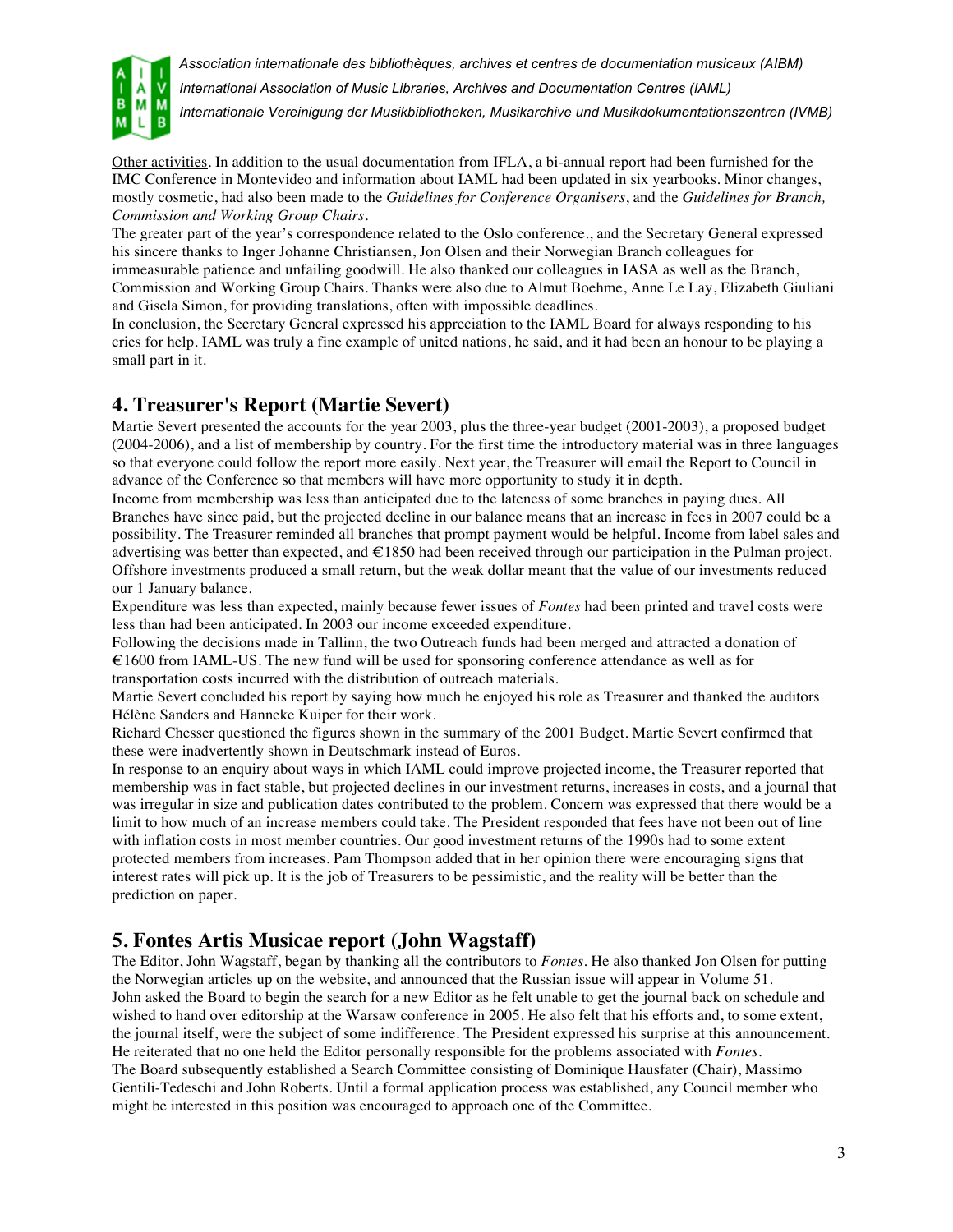

*International Association of Music Libraries, Archives and Documentation Centres (IAML)*

*Internationale Vereinigung der Musikbibliotheken, Musikarchive und Musikdokumentationszentren (IVMB)*

Other activities. In addition to the usual documentation from IFLA, a bi-annual report had been furnished for the IMC Conference in Montevideo and information about IAML had been updated in six yearbooks. Minor changes, mostly cosmetic, had also been made to the *Guidelines for Conference Organisers*, and the *Guidelines for Branch, Commission and Working Group Chairs.*

The greater part of the year's correspondence related to the Oslo conference., and the Secretary General expressed his sincere thanks to Inger Johanne Christiansen, Jon Olsen and their Norwegian Branch colleagues for immeasurable patience and unfailing goodwill. He also thanked our colleagues in IASA as well as the Branch, Commission and Working Group Chairs. Thanks were also due to Almut Boehme, Anne Le Lay, Elizabeth Giuliani and Gisela Simon, for providing translations, often with impossible deadlines.

In conclusion, the Secretary General expressed his appreciation to the IAML Board for always responding to his cries for help. IAML was truly a fine example of united nations, he said, and it had been an honour to be playing a small part in it.

## **4. Treasurer's Report (Martie Severt)**

Martie Severt presented the accounts for the year 2003, plus the three-year budget (2001-2003), a proposed budget (2004-2006), and a list of membership by country. For the first time the introductory material was in three languages so that everyone could follow the report more easily. Next year, the Treasurer will email the Report to Council in advance of the Conference so that members will have more opportunity to study it in depth.

Income from membership was less than anticipated due to the lateness of some branches in paying dues. All Branches have since paid, but the projected decline in our balance means that an increase in fees in 2007 could be a possibility. The Treasurer reminded all branches that prompt payment would be helpful. Income from label sales and advertising was better than expected, and €1850 had been received through our participation in the Pulman project. Offshore investments produced a small return, but the weak dollar meant that the value of our investments reduced our 1 January balance.

Expenditure was less than expected, mainly because fewer issues of *Fontes* had been printed and travel costs were less than had been anticipated. In 2003 our income exceeded expenditure.

Following the decisions made in Tallinn, the two Outreach funds had been merged and attracted a donation of €1600 from IAML-US. The new fund will be used for sponsoring conference attendance as well as for transportation costs incurred with the distribution of outreach materials.

Martie Severt concluded his report by saying how much he enjoyed his role as Treasurer and thanked the auditors Hélène Sanders and Hanneke Kuiper for their work.

Richard Chesser questioned the figures shown in the summary of the 2001 Budget. Martie Severt confirmed that these were inadvertently shown in Deutschmark instead of Euros.

In response to an enquiry about ways in which IAML could improve projected income, the Treasurer reported that membership was in fact stable, but projected declines in our investment returns, increases in costs, and a journal that was irregular in size and publication dates contributed to the problem. Concern was expressed that there would be a limit to how much of an increase members could take. The President responded that fees have not been out of line with inflation costs in most member countries. Our good investment returns of the 1990s had to some extent protected members from increases. Pam Thompson added that in her opinion there were encouraging signs that interest rates will pick up. It is the job of Treasurers to be pessimistic, and the reality will be better than the prediction on paper.

## **5. Fontes Artis Musicae report (John Wagstaff)**

The Editor, John Wagstaff, began by thanking all the contributors to *Fontes*. He also thanked Jon Olsen for putting the Norwegian articles up on the website, and announced that the Russian issue will appear in Volume 51. John asked the Board to begin the search for a new Editor as he felt unable to get the journal back on schedule and wished to hand over editorship at the Warsaw conference in 2005. He also felt that his efforts and, to some extent, the journal itself, were the subject of some indifference. The President expressed his surprise at this announcement. He reiterated that no one held the Editor personally responsible for the problems associated with *Fontes*. The Board subsequently established a Search Committee consisting of Dominique Hausfater (Chair), Massimo Gentili-Tedeschi and John Roberts. Until a formal application process was established, any Council member who might be interested in this position was encouraged to approach one of the Committee.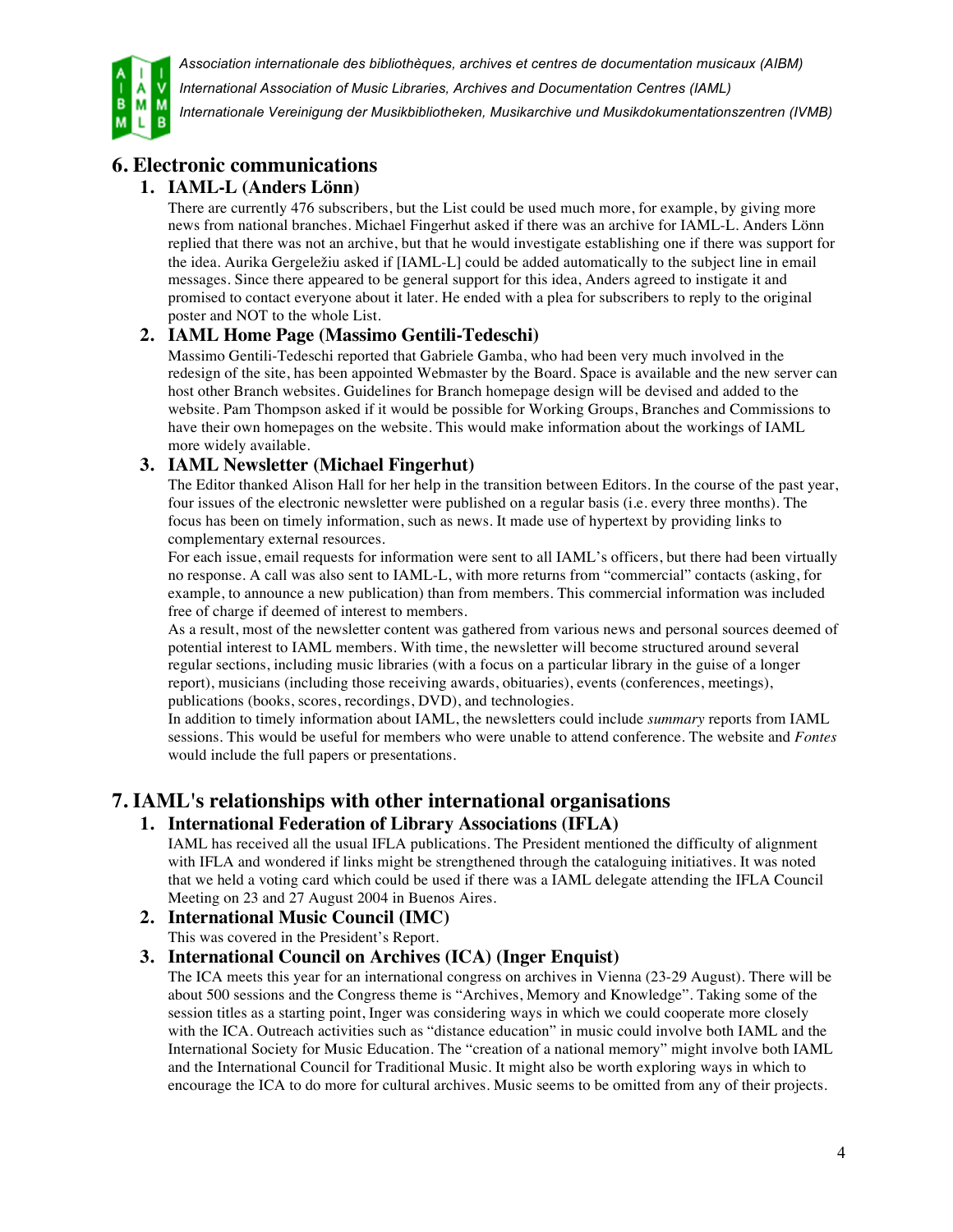

*International Association of Music Libraries, Archives and Documentation Centres (IAML)*

*Internationale Vereinigung der Musikbibliotheken, Musikarchive und Musikdokumentationszentren (IVMB)*

# **6. Electronic communications**

### **1. IAML-L (Anders Lönn)**

There are currently 476 subscribers, but the List could be used much more, for example, by giving more news from national branches. Michael Fingerhut asked if there was an archive for IAML-L. Anders Lönn replied that there was not an archive, but that he would investigate establishing one if there was support for the idea. Aurika Gergeležiu asked if [IAML-L] could be added automatically to the subject line in email messages. Since there appeared to be general support for this idea, Anders agreed to instigate it and promised to contact everyone about it later. He ended with a plea for subscribers to reply to the original poster and NOT to the whole List.

### **2. IAML Home Page (Massimo Gentili-Tedeschi)**

Massimo Gentili-Tedeschi reported that Gabriele Gamba, who had been very much involved in the redesign of the site, has been appointed Webmaster by the Board. Space is available and the new server can host other Branch websites. Guidelines for Branch homepage design will be devised and added to the website. Pam Thompson asked if it would be possible for Working Groups, Branches and Commissions to have their own homepages on the website. This would make information about the workings of IAML more widely available.

#### **3. IAML Newsletter (Michael Fingerhut)**

The Editor thanked Alison Hall for her help in the transition between Editors. In the course of the past year, four issues of the electronic newsletter were published on a regular basis (i.e. every three months). The focus has been on timely information, such as news. It made use of hypertext by providing links to complementary external resources.

For each issue, email requests for information were sent to all IAML's officers, but there had been virtually no response. A call was also sent to IAML-L, with more returns from "commercial" contacts (asking, for example, to announce a new publication) than from members. This commercial information was included free of charge if deemed of interest to members.

As a result, most of the newsletter content was gathered from various news and personal sources deemed of potential interest to IAML members. With time, the newsletter will become structured around several regular sections, including music libraries (with a focus on a particular library in the guise of a longer report), musicians (including those receiving awards, obituaries), events (conferences, meetings), publications (books, scores, recordings, DVD), and technologies.

In addition to timely information about IAML, the newsletters could include *summary* reports from IAML sessions. This would be useful for members who were unable to attend conference. The website and *Fontes* would include the full papers or presentations.

### **7. IAML's relationships with other international organisations**

#### **1. International Federation of Library Associations (IFLA)**

IAML has received all the usual IFLA publications. The President mentioned the difficulty of alignment with IFLA and wondered if links might be strengthened through the cataloguing initiatives. It was noted that we held a voting card which could be used if there was a IAML delegate attending the IFLA Council Meeting on 23 and 27 August 2004 in Buenos Aires.

#### **2. International Music Council (IMC)**

This was covered in the President's Report.

#### **3. International Council on Archives (ICA) (Inger Enquist)**

The ICA meets this year for an international congress on archives in Vienna (23-29 August). There will be about 500 sessions and the Congress theme is "Archives, Memory and Knowledge". Taking some of the session titles as a starting point, Inger was considering ways in which we could cooperate more closely with the ICA. Outreach activities such as "distance education" in music could involve both IAML and the International Society for Music Education. The "creation of a national memory" might involve both IAML and the International Council for Traditional Music. It might also be worth exploring ways in which to encourage the ICA to do more for cultural archives. Music seems to be omitted from any of their projects.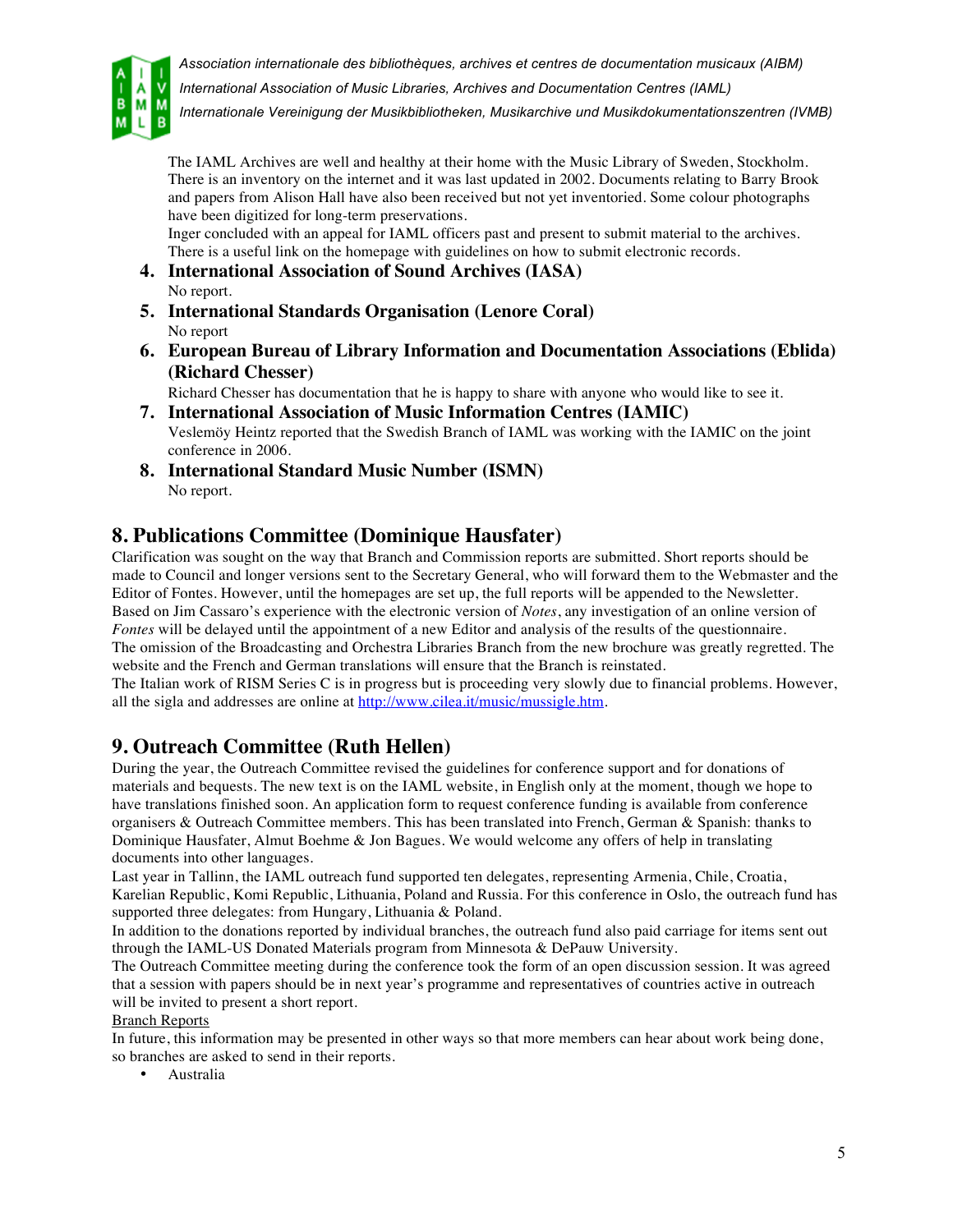

*International Association of Music Libraries, Archives and Documentation Centres (IAML)*

*Internationale Vereinigung der Musikbibliotheken, Musikarchive und Musikdokumentationszentren (IVMB)*

The IAML Archives are well and healthy at their home with the Music Library of Sweden, Stockholm. There is an inventory on the internet and it was last updated in 2002. Documents relating to Barry Brook and papers from Alison Hall have also been received but not yet inventoried. Some colour photographs have been digitized for long-term preservations.

Inger concluded with an appeal for IAML officers past and present to submit material to the archives. There is a useful link on the homepage with guidelines on how to submit electronic records.

- **4. International Association of Sound Archives (IASA)** No report.
- **5. International Standards Organisation (Lenore Coral)** No report
- **6. European Bureau of Library Information and Documentation Associations (Eblida) (Richard Chesser)**

Richard Chesser has documentation that he is happy to share with anyone who would like to see it.

- **7. International Association of Music Information Centres (IAMIC)** Veslemöy Heintz reported that the Swedish Branch of IAML was working with the IAMIC on the joint conference in 2006.
- **8. International Standard Music Number (ISMN)** No report.

## **8. Publications Committee (Dominique Hausfater)**

Clarification was sought on the way that Branch and Commission reports are submitted. Short reports should be made to Council and longer versions sent to the Secretary General, who will forward them to the Webmaster and the Editor of Fontes. However, until the homepages are set up, the full reports will be appended to the Newsletter. Based on Jim Cassaro's experience with the electronic version of *Notes*, any investigation of an online version of *Fontes* will be delayed until the appointment of a new Editor and analysis of the results of the questionnaire. The omission of the Broadcasting and Orchestra Libraries Branch from the new brochure was greatly regretted. The website and the French and German translations will ensure that the Branch is reinstated.

The Italian work of RISM Series C is in progress but is proceeding very slowly due to financial problems. However, all the sigla and addresses are online at http://www.cilea.it/music/mussigle.htm.

# **9. Outreach Committee (Ruth Hellen)**

During the year, the Outreach Committee revised the guidelines for conference support and for donations of materials and bequests. The new text is on the IAML website, in English only at the moment, though we hope to have translations finished soon. An application form to request conference funding is available from conference organisers & Outreach Committee members. This has been translated into French, German & Spanish: thanks to Dominique Hausfater, Almut Boehme & Jon Bagues. We would welcome any offers of help in translating documents into other languages.

Last year in Tallinn, the IAML outreach fund supported ten delegates, representing Armenia, Chile, Croatia, Karelian Republic, Komi Republic, Lithuania, Poland and Russia. For this conference in Oslo, the outreach fund has supported three delegates: from Hungary, Lithuania & Poland.

In addition to the donations reported by individual branches, the outreach fund also paid carriage for items sent out through the IAML-US Donated Materials program from Minnesota & DePauw University.

The Outreach Committee meeting during the conference took the form of an open discussion session. It was agreed that a session with papers should be in next year's programme and representatives of countries active in outreach will be invited to present a short report.

#### Branch Reports

In future, this information may be presented in other ways so that more members can hear about work being done, so branches are asked to send in their reports.

• Australia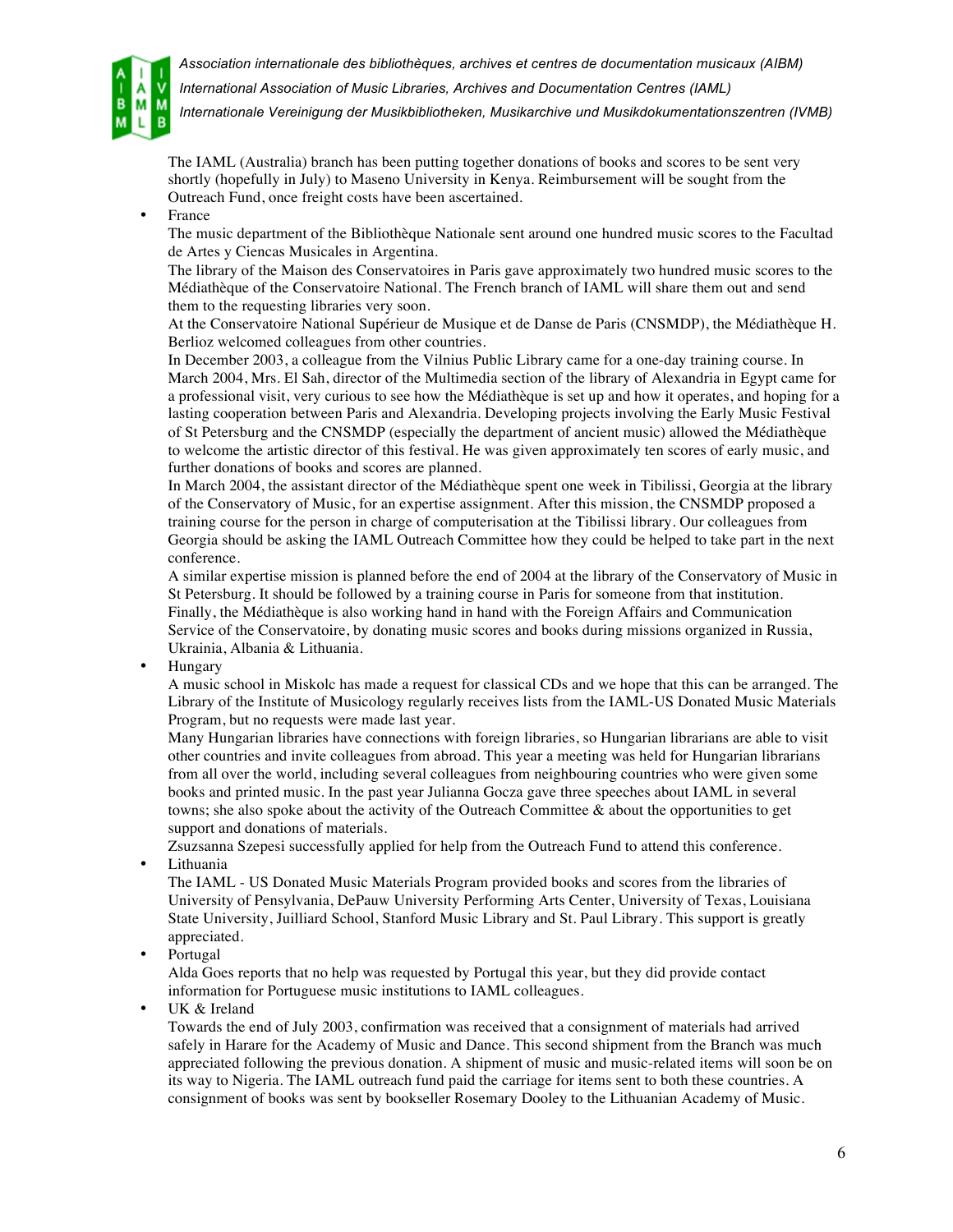



*International Association of Music Libraries, Archives and Documentation Centres (IAML)*

*Internationale Vereinigung der Musikbibliotheken, Musikarchive und Musikdokumentationszentren (IVMB)*

The IAML (Australia) branch has been putting together donations of books and scores to be sent very shortly (hopefully in July) to Maseno University in Kenya. Reimbursement will be sought from the Outreach Fund, once freight costs have been ascertained.

**France** 

The music department of the Bibliothèque Nationale sent around one hundred music scores to the Facultad de Artes y Ciencas Musicales in Argentina.

The library of the Maison des Conservatoires in Paris gave approximately two hundred music scores to the Médiathèque of the Conservatoire National. The French branch of IAML will share them out and send them to the requesting libraries very soon.

At the Conservatoire National Supérieur de Musique et de Danse de Paris (CNSMDP), the Médiathèque H. Berlioz welcomed colleagues from other countries.

In December 2003, a colleague from the Vilnius Public Library came for a one-day training course. In March 2004, Mrs. El Sah, director of the Multimedia section of the library of Alexandria in Egypt came for a professional visit, very curious to see how the Médiathèque is set up and how it operates, and hoping for a lasting cooperation between Paris and Alexandria. Developing projects involving the Early Music Festival of St Petersburg and the CNSMDP (especially the department of ancient music) allowed the Médiathèque to welcome the artistic director of this festival. He was given approximately ten scores of early music, and further donations of books and scores are planned.

In March 2004, the assistant director of the Médiathèque spent one week in Tibilissi, Georgia at the library of the Conservatory of Music, for an expertise assignment. After this mission, the CNSMDP proposed a training course for the person in charge of computerisation at the Tibilissi library. Our colleagues from Georgia should be asking the IAML Outreach Committee how they could be helped to take part in the next conference.

A similar expertise mission is planned before the end of 2004 at the library of the Conservatory of Music in St Petersburg. It should be followed by a training course in Paris for someone from that institution. Finally, the Médiathèque is also working hand in hand with the Foreign Affairs and Communication Service of the Conservatoire, by donating music scores and books during missions organized in Russia, Ukrainia, Albania & Lithuania.

• Hungary

A music school in Miskolc has made a request for classical CDs and we hope that this can be arranged. The Library of the Institute of Musicology regularly receives lists from the IAML-US Donated Music Materials Program, but no requests were made last year.

Many Hungarian libraries have connections with foreign libraries, so Hungarian librarians are able to visit other countries and invite colleagues from abroad. This year a meeting was held for Hungarian librarians from all over the world, including several colleagues from neighbouring countries who were given some books and printed music. In the past year Julianna Gocza gave three speeches about IAML in several towns; she also spoke about the activity of the Outreach Committee & about the opportunities to get support and donations of materials.

Zsuzsanna Szepesi successfully applied for help from the Outreach Fund to attend this conference. **Lithuania** 

The IAML - US Donated Music Materials Program provided books and scores from the libraries of University of Pensylvania, DePauw University Performing Arts Center, University of Texas, Louisiana State University, Juilliard School, Stanford Music Library and St. Paul Library. This support is greatly appreciated.

• Portugal

Alda Goes reports that no help was requested by Portugal this year, but they did provide contact information for Portuguese music institutions to IAML colleagues.

UK & Ireland

Towards the end of July 2003, confirmation was received that a consignment of materials had arrived safely in Harare for the Academy of Music and Dance. This second shipment from the Branch was much appreciated following the previous donation. A shipment of music and music-related items will soon be on its way to Nigeria. The IAML outreach fund paid the carriage for items sent to both these countries. A consignment of books was sent by bookseller Rosemary Dooley to the Lithuanian Academy of Music.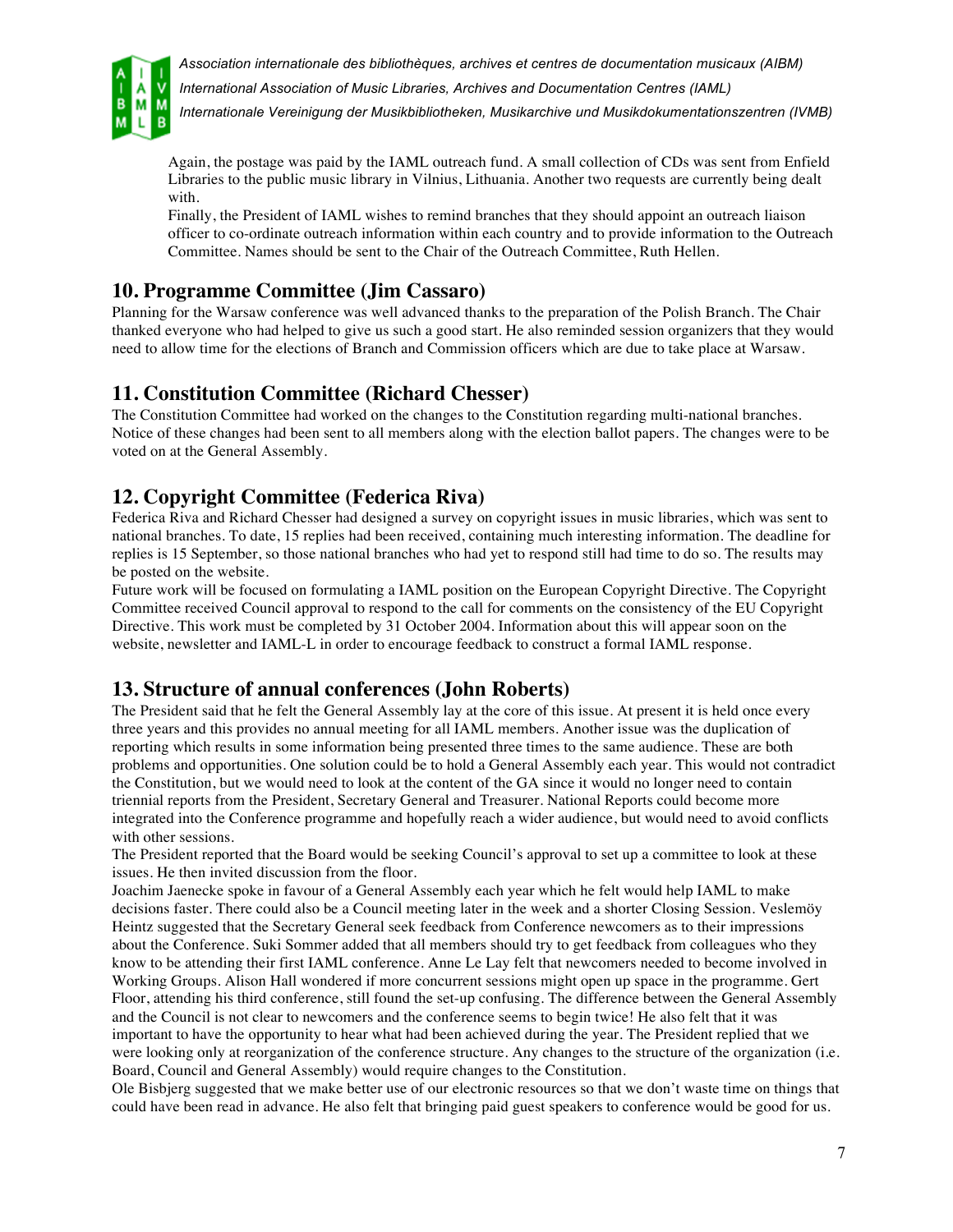

*International Association of Music Libraries, Archives and Documentation Centres (IAML)*

*Internationale Vereinigung der Musikbibliotheken, Musikarchive und Musikdokumentationszentren (IVMB)*

Again, the postage was paid by the IAML outreach fund. A small collection of CDs was sent from Enfield Libraries to the public music library in Vilnius, Lithuania. Another two requests are currently being dealt with.

Finally, the President of IAML wishes to remind branches that they should appoint an outreach liaison officer to co-ordinate outreach information within each country and to provide information to the Outreach Committee. Names should be sent to the Chair of the Outreach Committee, Ruth Hellen.

## **10. Programme Committee (Jim Cassaro)**

Planning for the Warsaw conference was well advanced thanks to the preparation of the Polish Branch. The Chair thanked everyone who had helped to give us such a good start. He also reminded session organizers that they would need to allow time for the elections of Branch and Commission officers which are due to take place at Warsaw.

### **11. Constitution Committee (Richard Chesser)**

The Constitution Committee had worked on the changes to the Constitution regarding multi-national branches. Notice of these changes had been sent to all members along with the election ballot papers. The changes were to be voted on at the General Assembly.

## **12. Copyright Committee (Federica Riva)**

Federica Riva and Richard Chesser had designed a survey on copyright issues in music libraries, which was sent to national branches. To date, 15 replies had been received, containing much interesting information. The deadline for replies is 15 September, so those national branches who had yet to respond still had time to do so. The results may be posted on the website.

Future work will be focused on formulating a IAML position on the European Copyright Directive. The Copyright Committee received Council approval to respond to the call for comments on the consistency of the EU Copyright Directive. This work must be completed by 31 October 2004. Information about this will appear soon on the website, newsletter and IAML-L in order to encourage feedback to construct a formal IAML response.

### **13. Structure of annual conferences (John Roberts)**

The President said that he felt the General Assembly lay at the core of this issue. At present it is held once every three years and this provides no annual meeting for all IAML members. Another issue was the duplication of reporting which results in some information being presented three times to the same audience. These are both problems and opportunities. One solution could be to hold a General Assembly each year. This would not contradict the Constitution, but we would need to look at the content of the GA since it would no longer need to contain triennial reports from the President, Secretary General and Treasurer. National Reports could become more integrated into the Conference programme and hopefully reach a wider audience, but would need to avoid conflicts with other sessions.

The President reported that the Board would be seeking Council's approval to set up a committee to look at these issues. He then invited discussion from the floor.

Joachim Jaenecke spoke in favour of a General Assembly each year which he felt would help IAML to make decisions faster. There could also be a Council meeting later in the week and a shorter Closing Session. Veslemöy Heintz suggested that the Secretary General seek feedback from Conference newcomers as to their impressions about the Conference. Suki Sommer added that all members should try to get feedback from colleagues who they know to be attending their first IAML conference. Anne Le Lay felt that newcomers needed to become involved in Working Groups. Alison Hall wondered if more concurrent sessions might open up space in the programme. Gert Floor, attending his third conference, still found the set-up confusing. The difference between the General Assembly and the Council is not clear to newcomers and the conference seems to begin twice! He also felt that it was important to have the opportunity to hear what had been achieved during the year. The President replied that we were looking only at reorganization of the conference structure. Any changes to the structure of the organization (i.e. Board, Council and General Assembly) would require changes to the Constitution.

Ole Bisbjerg suggested that we make better use of our electronic resources so that we don't waste time on things that could have been read in advance. He also felt that bringing paid guest speakers to conference would be good for us.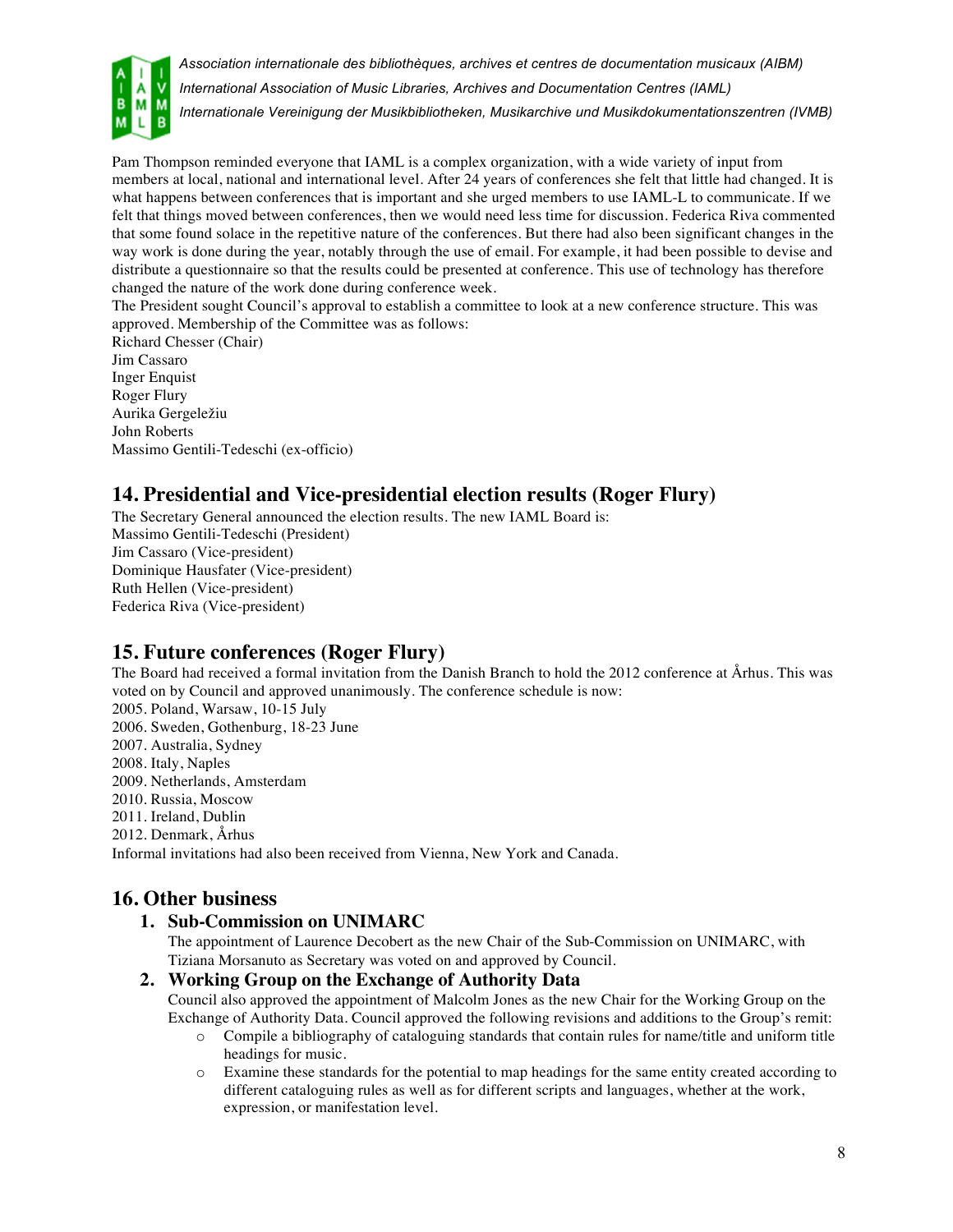

*Association internationale des bibliothèques, archives et centres de documentation musicaux (AIBM) International Association of Music Libraries, Archives and Documentation Centres (IAML) Internationale Vereinigung der Musikbibliotheken, Musikarchive und Musikdokumentationszentren (IVMB)*

Pam Thompson reminded everyone that IAML is a complex organization, with a wide variety of input from members at local, national and international level. After 24 years of conferences she felt that little had changed. It is what happens between conferences that is important and she urged members to use IAML-L to communicate. If we felt that things moved between conferences, then we would need less time for discussion. Federica Riva commented that some found solace in the repetitive nature of the conferences. But there had also been significant changes in the way work is done during the year, notably through the use of email. For example, it had been possible to devise and distribute a questionnaire so that the results could be presented at conference. This use of technology has therefore changed the nature of the work done during conference week.

The President sought Council's approval to establish a committee to look at a new conference structure. This was approved. Membership of the Committee was as follows:

Richard Chesser (Chair) Jim Cassaro Inger Enquist Roger Flury Aurika Gergeležiu John Roberts Massimo Gentili-Tedeschi (ex-officio)

# **14. Presidential and Vice-presidential election results (Roger Flury)**

The Secretary General announced the election results. The new IAML Board is: Massimo Gentili-Tedeschi (President) Jim Cassaro (Vice-president) Dominique Hausfater (Vice-president) Ruth Hellen (Vice-president) Federica Riva (Vice-president)

# **15. Future conferences (Roger Flury)**

The Board had received a formal invitation from the Danish Branch to hold the 2012 conference at Århus. This was voted on by Council and approved unanimously. The conference schedule is now: 2005. Poland, Warsaw, 10-15 July 2006. Sweden, Gothenburg, 18-23 June 2007. Australia, Sydney 2008. Italy, Naples 2009. Netherlands, Amsterdam 2010. Russia, Moscow 2011. Ireland, Dublin 2012. Denmark, Århus Informal invitations had also been received from Vienna, New York and Canada.

# **16. Other business**

### **1. Sub-Commission on UNIMARC**

The appointment of Laurence Decobert as the new Chair of the Sub-Commission on UNIMARC, with Tiziana Morsanuto as Secretary was voted on and approved by Council.

### **2. Working Group on the Exchange of Authority Data**

Council also approved the appointment of Malcolm Jones as the new Chair for the Working Group on the Exchange of Authority Data. Council approved the following revisions and additions to the Group's remit:

- o Compile a bibliography of cataloguing standards that contain rules for name/title and uniform title headings for music.
- o Examine these standards for the potential to map headings for the same entity created according to different cataloguing rules as well as for different scripts and languages, whether at the work, expression, or manifestation level.